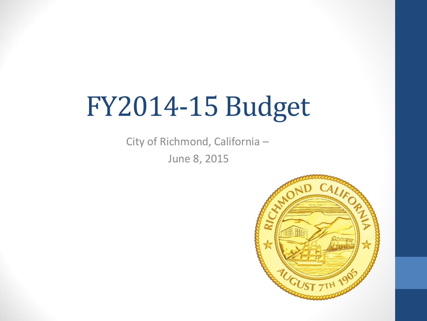# FY2014-15 Budget

City of Richmond, California – June 8, 2015

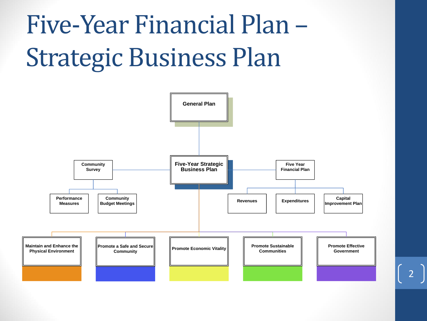# Five-Year Financial Plan – Strategic Business Plan

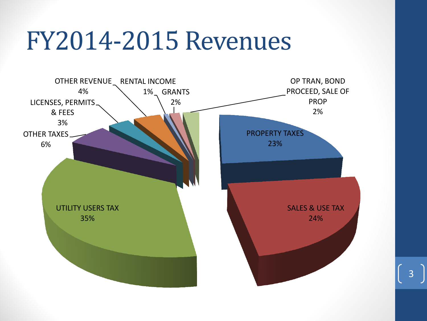#### FY2014-2015 Revenues

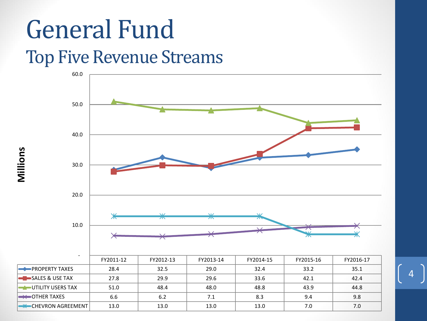#### General Fund Top Five Revenue Streams



**Millions**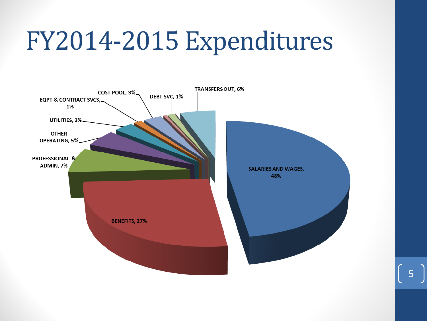### FY2014-2015 Expenditures

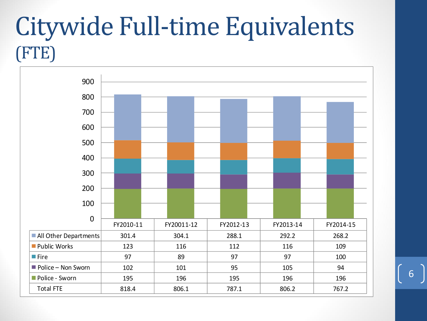#### Citywide Full-time Equivalents (FTE)



6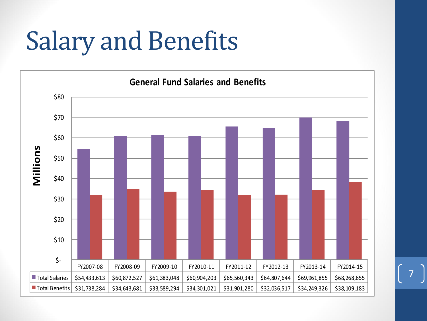## Salary and Benefits

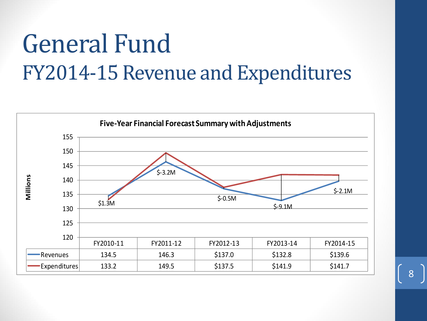#### General Fund FY2014-15 Revenue and Expenditures

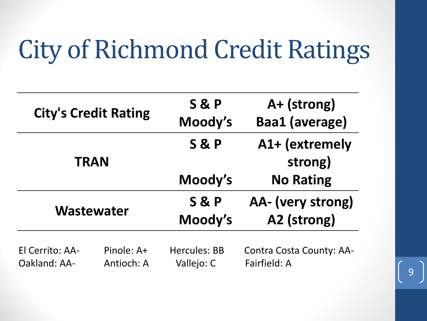## City of Richmond Credit Ratings

| <b>City's Credit Rating</b>     |                          | <b>S&amp;P</b><br>Moody's         | A+ (strong)<br><b>Baa1 (average)</b>            |
|---------------------------------|--------------------------|-----------------------------------|-------------------------------------------------|
| <b>TRAN</b>                     |                          | <b>S&amp;P</b>                    | A1+ (extremely<br>strong)                       |
|                                 |                          | Moody's                           | <b>No Rating</b>                                |
| <b>Wastewater</b>               |                          | <b>S&amp;P</b><br>Moody's         | AA- (very strong)<br>A2 (strong)                |
| El Cerrito: AA-<br>Oakland: AA- | Pinole: A+<br>Antioch: A | <b>Hercules: BB</b><br>Vallejo: C | <b>Contra Costa County: AA-</b><br>Fairfield: A |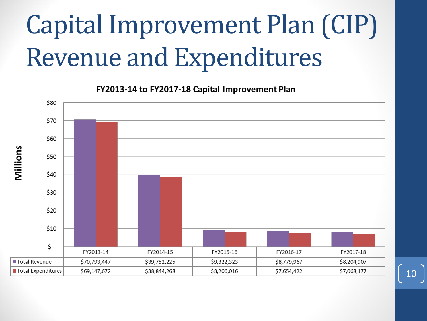# Capital Improvement Plan (CIP) Revenue and Expenditures

FY2013-14 to FY2017-18 Capital Improvement Plan

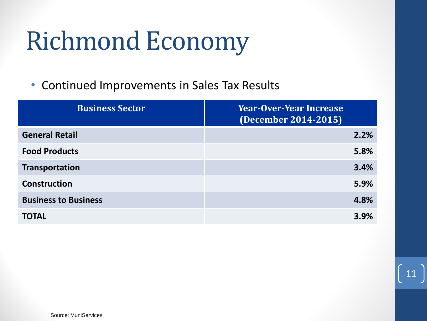## Richmond Economy

• Continued Improvements in Sales Tax Results

| <b>Business Sector</b>      | <b>Year-Over-Year Increase</b><br>(December 2014-2015) |
|-----------------------------|--------------------------------------------------------|
| <b>General Retail</b>       | 2.2%                                                   |
| <b>Food Products</b>        | 5.8%                                                   |
| <b>Transportation</b>       | 3.4%                                                   |
| <b>Construction</b>         | 5.9%                                                   |
| <b>Business to Business</b> | 4.8%                                                   |
| <b>TOTAL</b>                | 3.9%                                                   |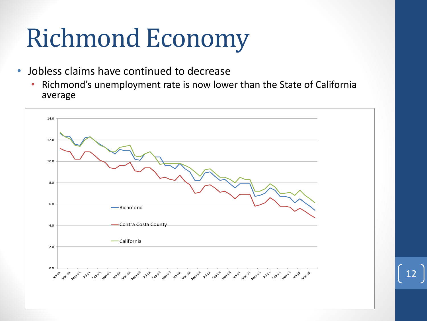## Richmond Economy

- Jobless claims have continued to decrease
	- Richmond's unemployment rate is now lower than the State of California average